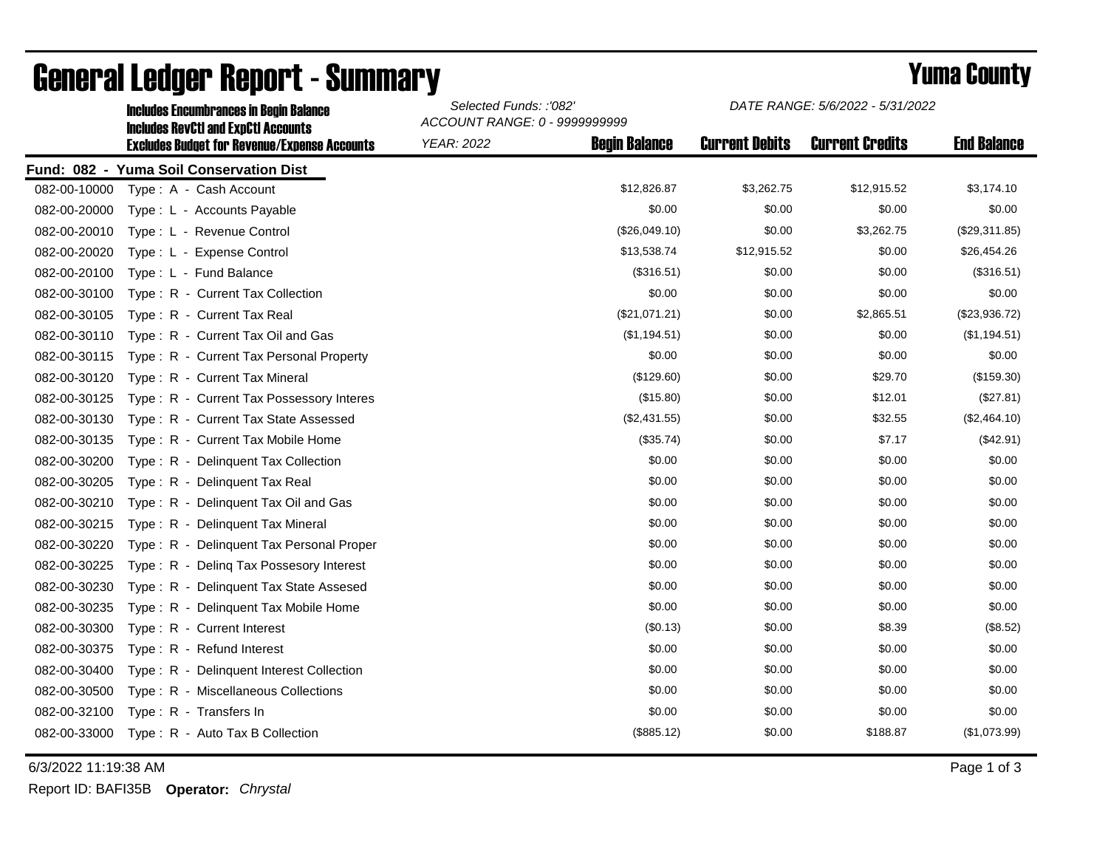|              | <b>Includes Encumbrances in Begin Balance</b><br><b>Includes RevCtI and ExpCtI Accounts</b> | Selected Funds: :'082'<br>ACCOUNT RANGE: 0 - 9999999999 |                      | DATE RANGE: 5/6/2022 - 5/31/2022 |                        |                    |
|--------------|---------------------------------------------------------------------------------------------|---------------------------------------------------------|----------------------|----------------------------------|------------------------|--------------------|
|              | <b>Excludes Budget for Revenue/Expense Accounts</b>                                         | <b>YEAR: 2022</b>                                       | <b>Begin Balance</b> | <b>Current Debits</b>            | <b>Current Credits</b> | <b>End Balance</b> |
|              | Fund: 082 - Yuma Soil Conservation Dist                                                     |                                                         |                      |                                  |                        |                    |
| 082-00-10000 | Type: A - Cash Account                                                                      |                                                         | \$12,826.87          | \$3,262.75                       | \$12,915.52            | \$3,174.10         |
| 082-00-20000 | Type: L - Accounts Payable                                                                  |                                                         | \$0.00               | \$0.00                           | \$0.00                 | \$0.00             |
| 082-00-20010 | Type: L - Revenue Control                                                                   |                                                         | (\$26,049.10)        | \$0.00                           | \$3,262.75             | (\$29,311.85)      |
| 082-00-20020 | Type: L - Expense Control                                                                   |                                                         | \$13,538.74          | \$12,915.52                      | \$0.00                 | \$26,454.26        |
| 082-00-20100 | Type: L - Fund Balance                                                                      |                                                         | (\$316.51)           | \$0.00                           | \$0.00                 | (\$316.51)         |
| 082-00-30100 | Type: R - Current Tax Collection                                                            |                                                         | \$0.00               | \$0.00                           | \$0.00                 | \$0.00             |
| 082-00-30105 | Type: R - Current Tax Real                                                                  |                                                         | (\$21,071.21)        | \$0.00                           | \$2,865.51             | (\$23,936.72)      |
| 082-00-30110 | Type: R - Current Tax Oil and Gas                                                           |                                                         | (\$1,194.51)         | \$0.00                           | \$0.00                 | (\$1,194.51)       |
| 082-00-30115 | Type: R - Current Tax Personal Property                                                     |                                                         | \$0.00               | \$0.00                           | \$0.00                 | \$0.00             |
| 082-00-30120 | Type: R - Current Tax Mineral                                                               |                                                         | (\$129.60)           | \$0.00                           | \$29.70                | (\$159.30)         |
| 082-00-30125 | Type: R - Current Tax Possessory Interes                                                    |                                                         | (\$15.80)            | \$0.00                           | \$12.01                | (\$27.81)          |
| 082-00-30130 | Type: R - Current Tax State Assessed                                                        |                                                         | (\$2,431.55)         | \$0.00                           | \$32.55                | (\$2,464.10)       |
| 082-00-30135 | Type: R - Current Tax Mobile Home                                                           |                                                         | (\$35.74)            | \$0.00                           | \$7.17                 | (\$42.91)          |
| 082-00-30200 | Type: R - Delinquent Tax Collection                                                         |                                                         | \$0.00               | \$0.00                           | \$0.00                 | \$0.00             |
| 082-00-30205 | Type: R - Delinquent Tax Real                                                               |                                                         | \$0.00               | \$0.00                           | \$0.00                 | \$0.00             |
| 082-00-30210 | Type: R - Delinquent Tax Oil and Gas                                                        |                                                         | \$0.00               | \$0.00                           | \$0.00                 | \$0.00             |
| 082-00-30215 | Type: R - Delinquent Tax Mineral                                                            |                                                         | \$0.00               | \$0.00                           | \$0.00                 | \$0.00             |
| 082-00-30220 | Type: R - Delinquent Tax Personal Proper                                                    |                                                         | \$0.00               | \$0.00                           | \$0.00                 | \$0.00             |
| 082-00-30225 | Type: R - Deling Tax Possesory Interest                                                     |                                                         | \$0.00               | \$0.00                           | \$0.00                 | \$0.00             |
| 082-00-30230 | Type: R - Delinquent Tax State Assesed                                                      |                                                         | \$0.00               | \$0.00                           | \$0.00                 | \$0.00             |
| 082-00-30235 | Type: R - Delinguent Tax Mobile Home                                                        |                                                         | \$0.00               | \$0.00                           | \$0.00                 | \$0.00             |
| 082-00-30300 | Type: R - Current Interest                                                                  |                                                         | (\$0.13)             | \$0.00                           | \$8.39                 | (\$8.52)           |
| 082-00-30375 | Type: R - Refund Interest                                                                   |                                                         | \$0.00               | \$0.00                           | \$0.00                 | \$0.00             |
| 082-00-30400 | Type: R - Delinquent Interest Collection                                                    |                                                         | \$0.00               | \$0.00                           | \$0.00                 | \$0.00             |
| 082-00-30500 | Type: R - Miscellaneous Collections                                                         |                                                         | \$0.00               | \$0.00                           | \$0.00                 | \$0.00             |
| 082-00-32100 | Type: R - Transfers In                                                                      |                                                         | \$0.00               | \$0.00                           | \$0.00                 | \$0.00             |
| 082-00-33000 | Type: R - Auto Tax B Collection                                                             |                                                         | (\$885.12)           | \$0.00                           | \$188.87               | (\$1,073.99)       |

## General Ledger Report - Summary **Example 2018** Yuma County

6/3/2022 11:19:38 AM Page 1 of 3

Report ID: BAFI35B **Operator:** *Chrystal*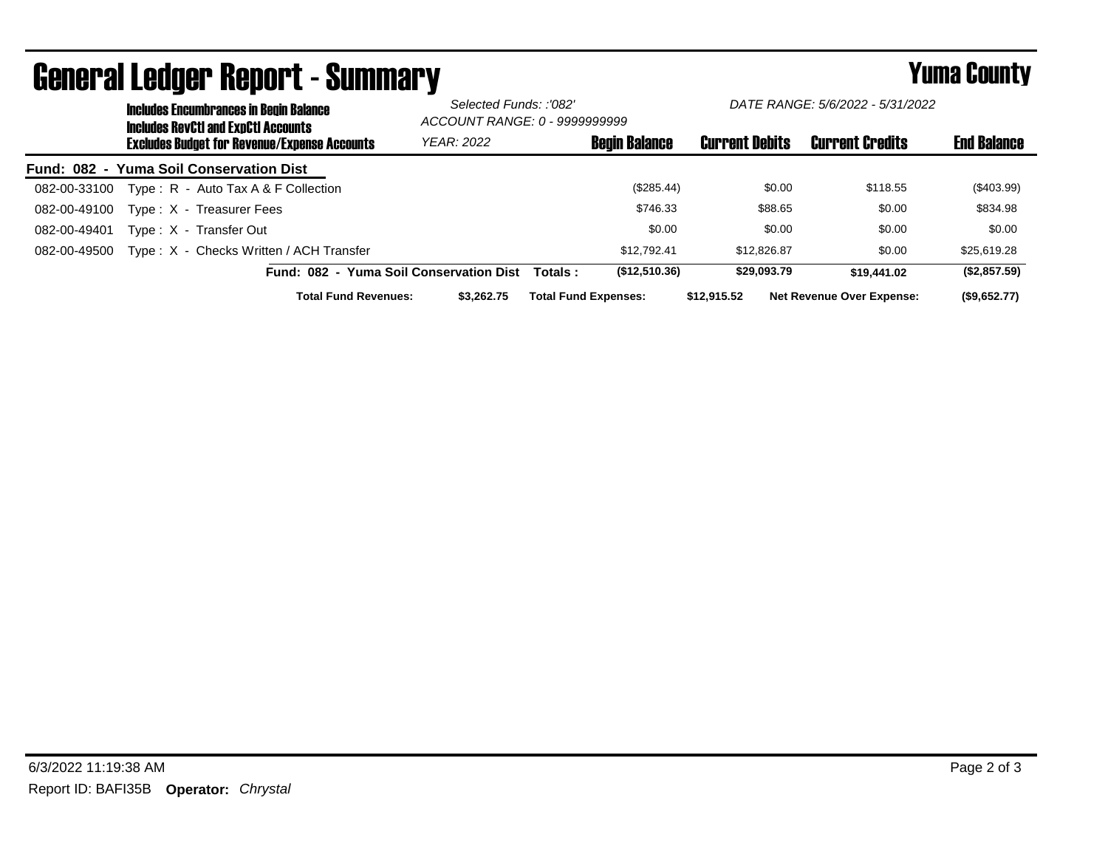|              |  | <b>Includes Encumbrances in Begin Balance</b><br><b>Includes RevCtI and ExpCtI Accounts</b><br><b>Excludes Budget for Revenue/Expense Accounts</b> |                                         | Selected Funds: :'082'<br>ACCOUNT RANGE: 0 - 9999999999 |                             | DATE RANGE: 5/6/2022 - 5/31/2022 |                       |                                  |                    |
|--------------|--|----------------------------------------------------------------------------------------------------------------------------------------------------|-----------------------------------------|---------------------------------------------------------|-----------------------------|----------------------------------|-----------------------|----------------------------------|--------------------|
|              |  |                                                                                                                                                    |                                         | <b>YEAR: 2022</b>                                       |                             | <b>Begin Balance</b>             | <b>Current Debits</b> | <b>Current Credits</b>           | <b>End Balance</b> |
|              |  | Fund: 082 - Yuma Soil Conservation Dist                                                                                                            |                                         |                                                         |                             |                                  |                       |                                  |                    |
| 082-00-33100 |  | Type: $R -$ Auto Tax A & F Collection                                                                                                              |                                         |                                                         |                             | (\$285.44)                       | \$0.00                | \$118.55                         | $(\$403.99)$       |
| 082-00-49100 |  | Type: X - Treasurer Fees                                                                                                                           |                                         |                                                         |                             | \$746.33                         | \$88.65               | \$0.00                           | \$834.98           |
| 082-00-49401 |  | Type: X - Transfer Out                                                                                                                             |                                         |                                                         |                             | \$0.00                           | \$0.00                | \$0.00                           | \$0.00             |
| 082-00-49500 |  | Type: X - Checks Written / ACH Transfer                                                                                                            |                                         |                                                         |                             | \$12,792.41                      | \$12,826.87           | \$0.00                           | \$25,619.28        |
|              |  |                                                                                                                                                    | Fund: 082 - Yuma Soil Conservation Dist |                                                         | Totals :                    | (\$12,510.36)                    | \$29,093.79           | \$19,441.02                      | (\$2,857.59)       |
|              |  |                                                                                                                                                    | <b>Total Fund Revenues:</b>             | \$3.262.75                                              | <b>Total Fund Expenses:</b> |                                  | \$12,915,52           | <b>Net Revenue Over Expense:</b> | (\$9.652.77)       |

## General Ledger Report - Summary **Example 2018** Yuma County